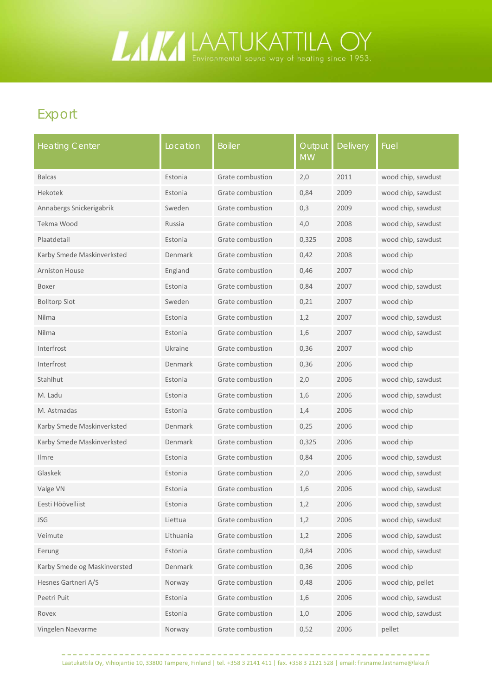## **LAATUKATTILA OY**

## Export

| <b>Heating Center</b>        | Location  | <b>Boiler</b>    | Output<br><b>MW</b> | <b>Delivery</b> | Fuel               |
|------------------------------|-----------|------------------|---------------------|-----------------|--------------------|
| <b>Balcas</b>                | Estonia   | Grate combustion | 2,0                 | 2011            | wood chip, sawdust |
| Hekotek                      | Estonia   | Grate combustion | 0,84                | 2009            | wood chip, sawdust |
| Annabergs Snickerigabrik     | Sweden    | Grate combustion | 0,3                 | 2009            | wood chip, sawdust |
| Tekma Wood                   | Russia    | Grate combustion | 4,0                 | 2008            | wood chip, sawdust |
| Plaatdetail                  | Estonia   | Grate combustion | 0,325               | 2008            | wood chip, sawdust |
| Karby Smede Maskinverksted   | Denmark   | Grate combustion | 0,42                | 2008            | wood chip          |
| <b>Arniston House</b>        | England   | Grate combustion | 0,46                | 2007            | wood chip          |
| Boxer                        | Estonia   | Grate combustion | 0,84                | 2007            | wood chip, sawdust |
| <b>Bolltorp Slot</b>         | Sweden    | Grate combustion | 0,21                | 2007            | wood chip          |
| Nilma                        | Estonia   | Grate combustion | 1,2                 | 2007            | wood chip, sawdust |
| Nilma                        | Estonia   | Grate combustion | 1,6                 | 2007            | wood chip, sawdust |
| Interfrost                   | Ukraine   | Grate combustion | 0,36                | 2007            | wood chip          |
| Interfrost                   | Denmark   | Grate combustion | 0,36                | 2006            | wood chip          |
| Stahlhut                     | Estonia   | Grate combustion | 2,0                 | 2006            | wood chip, sawdust |
| M. Ladu                      | Estonia   | Grate combustion | 1,6                 | 2006            | wood chip, sawdust |
| M. Astmadas                  | Estonia   | Grate combustion | 1,4                 | 2006            | wood chip          |
| Karby Smede Maskinverksted   | Denmark   | Grate combustion | 0,25                | 2006            | wood chip          |
| Karby Smede Maskinverksted   | Denmark   | Grate combustion | 0,325               | 2006            | wood chip          |
| <b>Ilmre</b>                 | Estonia   | Grate combustion | 0,84                | 2006            | wood chip, sawdust |
| Glaskek                      | Estonia   | Grate combustion | 2,0                 | 2006            | wood chip, sawdust |
| Valge VN                     | Estonia   | Grate combustion | 1,6                 | 2006            | wood chip, sawdust |
| Eesti Höövelliist            | Estonia   | Grate combustion | 1,2                 | 2006            | wood chip, sawdust |
| <b>JSG</b>                   | Liettua   | Grate combustion | 1,2                 | 2006            | wood chip, sawdust |
| Veimute                      | Lithuania | Grate combustion | 1,2                 | 2006            | wood chip, sawdust |
| Eerung                       | Estonia   | Grate combustion | 0,84                | 2006            | wood chip, sawdust |
| Karby Smede og Maskinversted | Denmark   | Grate combustion | 0,36                | 2006            | wood chip          |
| Hesnes Gartneri A/S          | Norway    | Grate combustion | 0,48                | 2006            | wood chip, pellet  |
| Peetri Puit                  | Estonia   | Grate combustion | 1,6                 | 2006            | wood chip, sawdust |
| Rovex                        | Estonia   | Grate combustion | 1,0                 | 2006            | wood chip, sawdust |
| Vingelen Naevarme            | Norway    | Grate combustion | 0,52                | 2006            | pellet             |

Laatukattila Oy, Vihiojantie 10, 33800 Tampere, Finland | tel. +358 3 2141 411 | fax. +358 3 2121 528 | email: firsname.lastname@laka.fi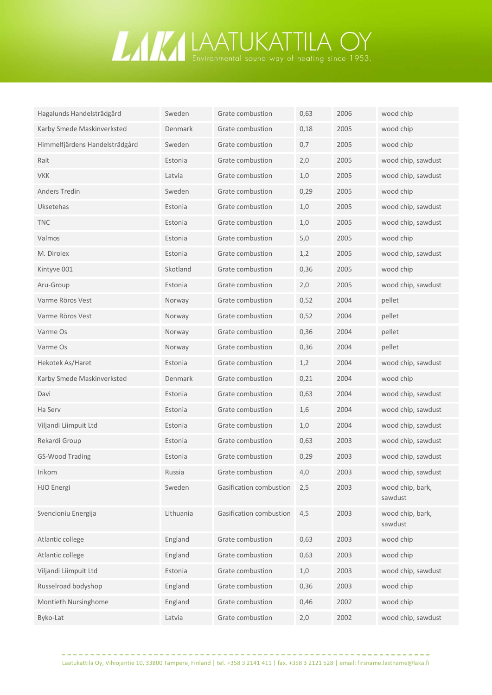## **LAATUKATTILA OY**

| Hagalunds Handelsträdgård      | Sweden         | Grate combustion        | 0,63 | 2006 | wood chip                   |
|--------------------------------|----------------|-------------------------|------|------|-----------------------------|
| Karby Smede Maskinverksted     | <b>Denmark</b> | Grate combustion        | 0,18 | 2005 | wood chip                   |
| Himmelfjärdens Handelsträdgård | Sweden         | Grate combustion        | 0,7  | 2005 | wood chip                   |
| Rait                           | Estonia        | Grate combustion        | 2,0  | 2005 | wood chip, sawdust          |
| <b>VKK</b>                     | Latvia         | Grate combustion        | 1,0  | 2005 | wood chip, sawdust          |
| <b>Anders Tredin</b>           | Sweden         | Grate combustion        | 0,29 | 2005 | wood chip                   |
| <b>Uksetehas</b>               | Estonia        | Grate combustion        | 1,0  | 2005 | wood chip, sawdust          |
| <b>TNC</b>                     | Estonia        | Grate combustion        | 1,0  | 2005 | wood chip, sawdust          |
| Valmos                         | Estonia        | Grate combustion        | 5,0  | 2005 | wood chip                   |
| M. Dirolex                     | Estonia        | Grate combustion        | 1,2  | 2005 | wood chip, sawdust          |
| Kintyve 001                    | Skotland       | Grate combustion        | 0,36 | 2005 | wood chip                   |
| Aru-Group                      | Estonia        | Grate combustion        | 2,0  | 2005 | wood chip, sawdust          |
| Varme Röros Vest               | Norway         | Grate combustion        | 0,52 | 2004 | pellet                      |
| Varme Röros Vest               | Norway         | Grate combustion        | 0,52 | 2004 | pellet                      |
| Varme Os                       | Norway         | Grate combustion        | 0,36 | 2004 | pellet                      |
| Varme Os                       | Norway         | Grate combustion        | 0,36 | 2004 | pellet                      |
| Hekotek As/Haret               | Estonia        | Grate combustion        | 1,2  | 2004 | wood chip, sawdust          |
| Karby Smede Maskinverksted     | Denmark        | Grate combustion        | 0,21 | 2004 | wood chip                   |
| Davi                           | Estonia        | Grate combustion        | 0,63 | 2004 | wood chip, sawdust          |
| Ha Serv                        | Estonia        | Grate combustion        | 1,6  | 2004 | wood chip, sawdust          |
| Viljandi Liimpuit Ltd          | Estonia        | Grate combustion        | 1,0  | 2004 | wood chip, sawdust          |
| Rekardi Group                  | Estonia        | Grate combustion        | 0,63 | 2003 | wood chip, sawdust          |
| GS-Wood Trading                | Estonia        | Grate combustion        | 0,29 | 2003 | wood chip, sawdust          |
| Irikom                         | Russia         | Grate combustion        | 4,0  | 2003 | wood chip, sawdust          |
| <b>HJO</b> Energi              | Sweden         | Gasification combustion | 2,5  | 2003 | wood chip, bark,<br>sawdust |
| Svencioniu Energija            | Lithuania      | Gasification combustion | 4,5  | 2003 | wood chip, bark,<br>sawdust |
| Atlantic college               | England        | Grate combustion        | 0,63 | 2003 | wood chip                   |
| Atlantic college               | England        | Grate combustion        | 0,63 | 2003 | wood chip                   |
| Viljandi Liimpuit Ltd          | Estonia        | Grate combustion        | 1,0  | 2003 | wood chip, sawdust          |
| Russelroad bodyshop            | England        | Grate combustion        | 0,36 | 2003 | wood chip                   |
| Montieth Nursinghome           | England        | Grate combustion        | 0,46 | 2002 | wood chip                   |
| Byko-Lat                       | Latvia         | Grate combustion        | 2,0  | 2002 | wood chip, sawdust          |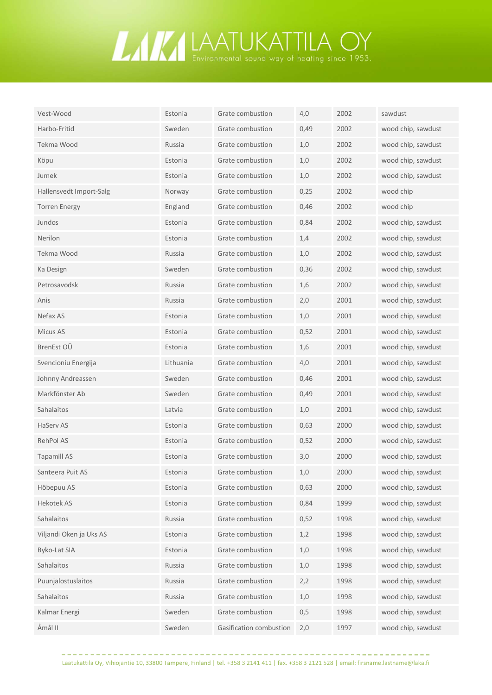

| Vest-Wood               | Estonia   | Grate combustion        | 4,0   | 2002 | sawdust            |
|-------------------------|-----------|-------------------------|-------|------|--------------------|
| Harbo-Fritid            | Sweden    | Grate combustion        | 0,49  | 2002 | wood chip, sawdust |
| Tekma Wood              | Russia    | Grate combustion        | 1,0   | 2002 | wood chip, sawdust |
| Köpu                    | Estonia   | Grate combustion        | 1,0   | 2002 | wood chip, sawdust |
| Jumek                   | Estonia   | Grate combustion        | 1,0   | 2002 | wood chip, sawdust |
| Hallensvedt Import-Salg | Norway    | Grate combustion        | 0,25  | 2002 | wood chip          |
| <b>Torren Energy</b>    | England   | Grate combustion        | 0,46  | 2002 | wood chip          |
| Jundos                  | Estonia   | Grate combustion        | 0,84  | 2002 | wood chip, sawdust |
| Nerilon                 | Estonia   | Grate combustion        | 1,4   | 2002 | wood chip, sawdust |
| Tekma Wood              | Russia    | Grate combustion        | 1,0   | 2002 | wood chip, sawdust |
| Ka Design               | Sweden    | Grate combustion        | 0,36  | 2002 | wood chip, sawdust |
| Petrosavodsk            | Russia    | Grate combustion        | 1,6   | 2002 | wood chip, sawdust |
| Anis                    | Russia    | Grate combustion        | 2,0   | 2001 | wood chip, sawdust |
| Nefax AS                | Estonia   | Grate combustion        | 1,0   | 2001 | wood chip, sawdust |
| Micus AS                | Estonia   | Grate combustion        | 0,52  | 2001 | wood chip, sawdust |
| BrenEst OU              | Estonia   | Grate combustion        | 1,6   | 2001 | wood chip, sawdust |
| Svencioniu Energija     | Lithuania | Grate combustion        | 4,0   | 2001 | wood chip, sawdust |
| Johnny Andreassen       | Sweden    | Grate combustion        | 0,46  | 2001 | wood chip, sawdust |
| Markfönster Ab          | Sweden    | Grate combustion        | 0,49  | 2001 | wood chip, sawdust |
| Sahalaitos              | Latvia    | Grate combustion        | 1,0   | 2001 | wood chip, sawdust |
| <b>HaServ AS</b>        | Estonia   | Grate combustion        | 0,63  | 2000 | wood chip, sawdust |
| RehPol AS               | Estonia   | Grate combustion        | 0,52  | 2000 | wood chip, sawdust |
| <b>Tapamill AS</b>      | Estonia   | Grate combustion        | 3,0   | 2000 | wood chip, sawdust |
| Santeera Puit AS        | Estonia   | Grate combustion        | 1,0   | 2000 | wood chip, sawdust |
| Höbepuu AS              | Estonia   | Grate combustion        | 0,63  | 2000 | wood chip, sawdust |
| Hekotek AS              | Estonia   | Grate combustion        | 0,84  | 1999 | wood chip, sawdust |
| Sahalaitos              | Russia    | Grate combustion        | 0,52  | 1998 | wood chip, sawdust |
| Viljandi Oken ja Uks AS | Estonia   | Grate combustion        | 1,2   | 1998 | wood chip, sawdust |
| Byko-Lat SIA            | Estonia   | Grate combustion        | $1,0$ | 1998 | wood chip, sawdust |
| Sahalaitos              | Russia    | Grate combustion        | 1,0   | 1998 | wood chip, sawdust |
| Puunjalostuslaitos      | Russia    | Grate combustion        | 2,2   | 1998 | wood chip, sawdust |
| Sahalaitos              | Russia    | Grate combustion        | $1,0$ | 1998 | wood chip, sawdust |
| Kalmar Energi           | Sweden    | Grate combustion        | 0,5   | 1998 | wood chip, sawdust |
| Åmål II                 | Sweden    | Gasification combustion | 2,0   | 1997 | wood chip, sawdust |

. . . . . . . . . . . . . . . . . .

 $\frac{1}{2} \left( \frac{1}{2} \right) \left( \frac{1}{2} \right) \left( \frac{1}{2} \right) \left( \frac{1}{2} \right) \left( \frac{1}{2} \right) \left( \frac{1}{2} \right) \left( \frac{1}{2} \right) \left( \frac{1}{2} \right) \left( \frac{1}{2} \right) \left( \frac{1}{2} \right) \left( \frac{1}{2} \right) \left( \frac{1}{2} \right) \left( \frac{1}{2} \right) \left( \frac{1}{2} \right) \left( \frac{1}{2} \right) \left( \frac{1}{2} \right) \left( \frac$